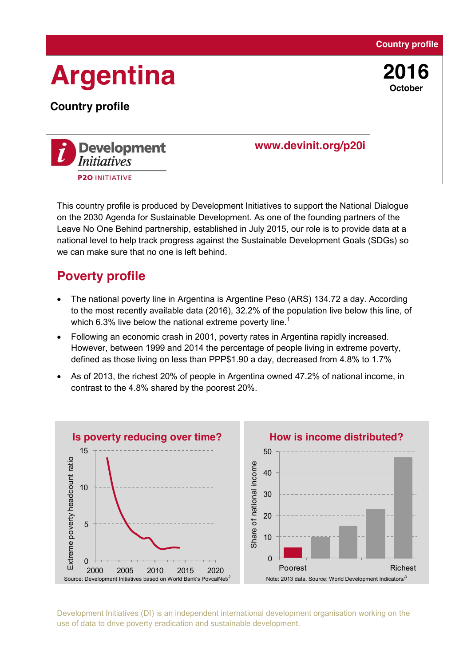

This country profile is produced by Development Initiatives to support the National Dialogue on the 2030 Agenda for Sustainable Development. As one of the founding partners of the Leave No One Behind partnership, established in July 2015, our role is to provide data at a national level to help track progress against the Sustainable Development Goals (SDGs) so we can make sure that no one is left behind.

## **Poverty profile**

- The national poverty line in Argentina is Argentine Peso (ARS) 134.72 a day. According to the most recently available data (2016), 32.2% of the population live below this line, of which 6.3% live below the national extreme poverty line.<sup>1</sup>
- Following an economic crash in 2001, poverty rates in Argentina rapidly increased. However, between 1999 and 2014 the percentage of people living in extreme poverty, defined as those living on less than PPP\$1.90 a day, decreased from 4.8% to 1.7%
- As of 2013, the richest 20% of people in Argentina owned 47.2% of national income, in contrast to the 4.8% shared by the poorest 20%.

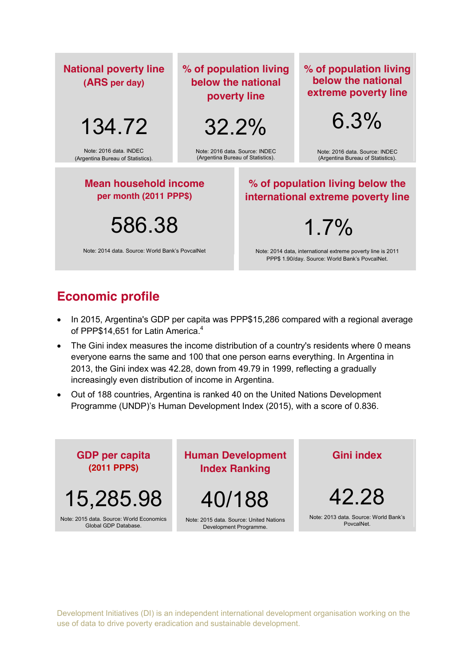| <b>National poverty line</b><br>(ARS per day)               | % of population living<br>below the national<br>poverty line        |                                                                                                                | % of population living<br>below the national<br>extreme poverty line |
|-------------------------------------------------------------|---------------------------------------------------------------------|----------------------------------------------------------------------------------------------------------------|----------------------------------------------------------------------|
| 134.72                                                      | 32.2%                                                               |                                                                                                                | 6.3%                                                                 |
| Note: 2016 data. INDEC<br>(Argentina Bureau of Statistics). | Note: 2016 data, Source: INDEC<br>(Argentina Bureau of Statistics). |                                                                                                                | Note: 2016 data. Source: INDEC<br>(Argentina Bureau of Statistics).  |
| <b>Mean household income</b><br>per month (2011 PPP\$)      |                                                                     | % of population living below the<br>international extreme poverty line                                         |                                                                      |
| 586.38                                                      |                                                                     | 1.7%                                                                                                           |                                                                      |
| Note: 2014 data. Source: World Bank's PoycalNet             |                                                                     | Note: 2014 data, international extreme poverty line is 2011<br>PPP\$ 1.90/day. Source: World Bank's PovcalNet. |                                                                      |

## **Economic profile**

- In 2015, Argentina's GDP per capita was PPP\$15,286 compared with a regional average of PPP\$14,651 for Latin America.<sup>4</sup>
- The Gini index measures the income distribution of a country's residents where 0 means everyone earns the same and 100 that one person earns everything. In Argentina in 2013, the Gini index was 42.28, down from 49.79 in 1999, reflecting a gradually increasingly even distribution of income in Argentina.
- Out of 188 countries, Argentina is ranked 40 on the United Nations Development Programme (UNDP)'s Human Development Index (2015), with a score of 0.836.

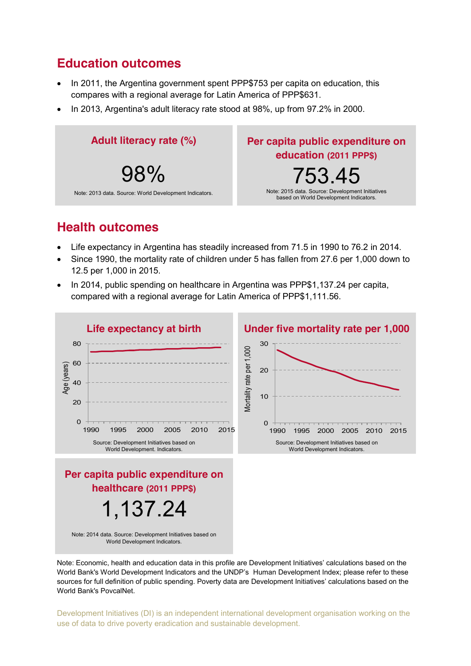## **Education outcomes**

- In 2011, the Argentina government spent PPP\$753 per capita on education, this compares with a regional average for Latin America of PPP\$631.
- In 2013, Argentina's adult literacy rate stood at 98%, up from 97.2% in 2000.



### **Health outcomes**

- Life expectancy in Argentina has steadily increased from 71.5 in 1990 to 76.2 in 2014.
- Since 1990, the mortality rate of children under 5 has fallen from 27.6 per 1,000 down to 12.5 per 1,000 in 2015.
- In 2014, public spending on healthcare in Argentina was PPP\$1,137.24 per capita, compared with a regional average for Latin America of PPP\$1,111.56.



Note: Economic, health and education data in this profile are Development Initiatives' calculations based on the World Bank's World Development Indicators and the UNDP's Human Development Index; please refer to these sources for full definition of public spending. Poverty data are Development Initiatives' calculations based on the World Bank's PovcalNet.